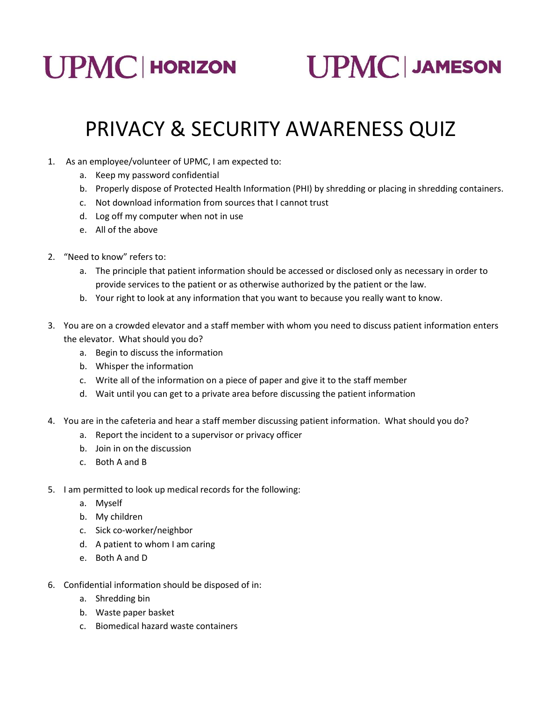

**UPMC JAMESON** 

## PRIVACY & SECURITY AWARENESS QUIZ

- 1. As an employee/volunteer of UPMC, I am expected to:
	- a. Keep my password confidential
	- b. Properly dispose of Protected Health Information (PHI) by shredding or placing in shredding containers.
	- c. Not download information from sources that I cannot trust
	- d. Log off my computer when not in use
	- e. All of the above
- 2. "Need to know" refers to:
	- a. The principle that patient information should be accessed or disclosed only as necessary in order to provide services to the patient or as otherwise authorized by the patient or the law.
	- b. Your right to look at any information that you want to because you really want to know.
- 3. You are on a crowded elevator and a staff member with whom you need to discuss patient information enters the elevator. What should you do?
	- a. Begin to discuss the information
	- b. Whisper the information
	- c. Write all of the information on a piece of paper and give it to the staff member
	- d. Wait until you can get to a private area before discussing the patient information
- 4. You are in the cafeteria and hear a staff member discussing patient information. What should you do?
	- a. Report the incident to a supervisor or privacy officer
	- b. Join in on the discussion
	- c. Both A and B
- 5. I am permitted to look up medical records for the following:
	- a. Myself
	- b. My children
	- c. Sick co-worker/neighbor
	- d. A patient to whom I am caring
	- e. Both A and D
- 6. Confidential information should be disposed of in:
	- a. Shredding bin
	- b. Waste paper basket
	- c. Biomedical hazard waste containers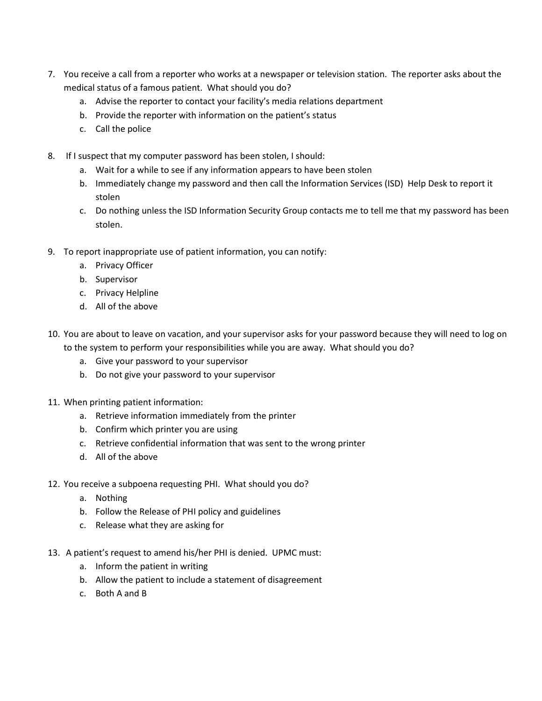- 7. You receive a call from a reporter who works at a newspaper or television station. The reporter asks about the medical status of a famous patient. What should you do?
	- a. Advise the reporter to contact your facility's media relations department
	- b. Provide the reporter with information on the patient's status
	- c. Call the police
- 8. If I suspect that my computer password has been stolen, I should:
	- a. Wait for a while to see if any information appears to have been stolen
	- b. Immediately change my password and then call the Information Services (ISD) Help Desk to report it stolen
	- c. Do nothing unless the ISD Information Security Group contacts me to tell me that my password has been stolen.
- 9. To report inappropriate use of patient information, you can notify:
	- a. Privacy Officer
	- b. Supervisor
	- c. Privacy Helpline
	- d. All of the above
- 10. You are about to leave on vacation, and your supervisor asks for your password because they will need to log on to the system to perform your responsibilities while you are away. What should you do?
	- a. Give your password to your supervisor
	- b. Do not give your password to your supervisor
- 11. When printing patient information:
	- a. Retrieve information immediately from the printer
	- b. Confirm which printer you are using
	- c. Retrieve confidential information that was sent to the wrong printer
	- d. All of the above
- 12. You receive a subpoena requesting PHI. What should you do?
	- a. Nothing
	- b. Follow the Release of PHI policy and guidelines
	- c. Release what they are asking for
- 13. A patient's request to amend his/her PHI is denied. UPMC must:
	- a. Inform the patient in writing
	- b. Allow the patient to include a statement of disagreement
	- c. Both A and B